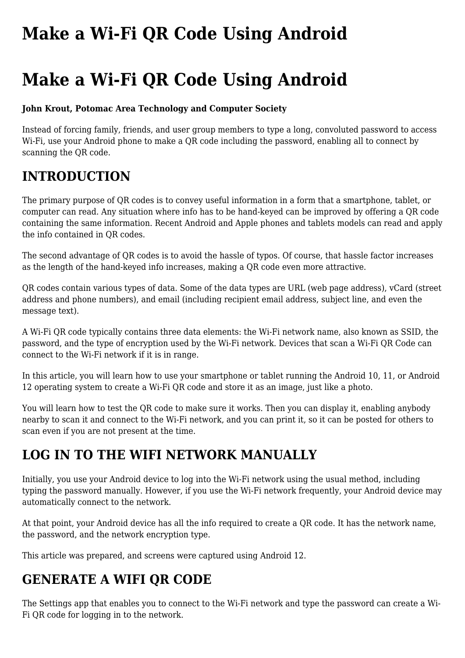# **[Make a Wi-Fi QR Code Using Android](https://www.melbpc.org.au/make-a-wi-fi-qr-code-using-android/)**

# **Make a Wi-Fi QR Code Using Android**

#### **John Krout, Potomac Area Technology and Computer Society**

Instead of forcing family, friends, and user group members to type a long, convoluted password to access Wi-Fi, use your Android phone to make a QR code including the password, enabling all to connect by scanning the QR code.

## **INTRODUCTION**

The primary purpose of QR codes is to convey useful information in a form that a smartphone, tablet, or computer can read. Any situation where info has to be hand-keyed can be improved by offering a QR code containing the same information. Recent Android and Apple phones and tablets models can read and apply the info contained in QR codes.

The second advantage of QR codes is to avoid the hassle of typos. Of course, that hassle factor increases as the length of the hand-keyed info increases, making a QR code even more attractive.

QR codes contain various types of data. Some of the data types are URL (web page address), vCard (street address and phone numbers), and email (including recipient email address, subject line, and even the message text).

A Wi-Fi QR code typically contains three data elements: the Wi-Fi network name, also known as SSID, the password, and the type of encryption used by the Wi-Fi network. Devices that scan a Wi-Fi QR Code can connect to the Wi-Fi network if it is in range.

In this article, you will learn how to use your smartphone or tablet running the Android 10, 11, or Android 12 operating system to create a Wi-Fi QR code and store it as an image, just like a photo.

You will learn how to test the QR code to make sure it works. Then you can display it, enabling anybody nearby to scan it and connect to the Wi-Fi network, and you can print it, so it can be posted for others to scan even if you are not present at the time.

#### **LOG IN TO THE WIFI NETWORK MANUALLY**

Initially, you use your Android device to log into the Wi-Fi network using the usual method, including typing the password manually. However, if you use the Wi-Fi network frequently, your Android device may automatically connect to the network.

At that point, your Android device has all the info required to create a QR code. It has the network name, the password, and the network encryption type.

This article was prepared, and screens were captured using Android 12.

## **GENERATE A WIFI QR CODE**

The Settings app that enables you to connect to the Wi-Fi network and type the password can create a Wi-Fi QR code for logging in to the network.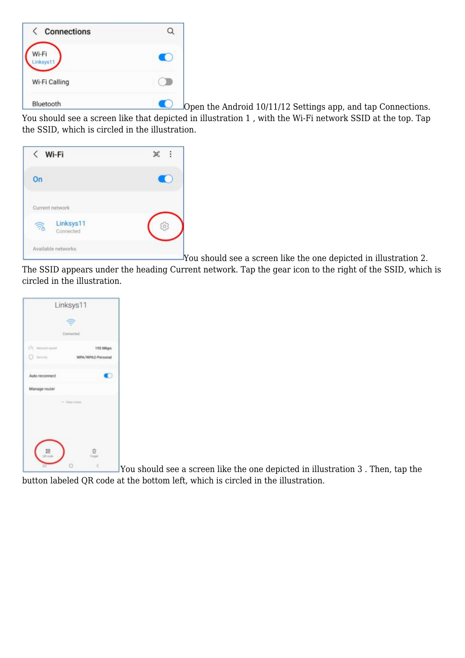| <b>Connections</b><br>$\langle$ |  |
|---------------------------------|--|
| Wi-Fi<br>inksys'                |  |
| Wi-Fi Calling                   |  |
| Bluetooth                       |  |

Open the Android 10/11/12 Settings app, and tap Connections. You should see a screen like that depicted in illustration 1, with the Wi-Fi network SSID at the top. Tap the SSID, which is circled in the illustration.



You should see a screen like the one depicted in illustration 2.

The SSID appears under the heading Current network. Tap the gear icon to the right of the SSID, which is circled in the illustration.



You should see a screen like the one depicted in illustration 3 . Then, tap the button labeled QR code at the bottom left, which is circled in the illustration.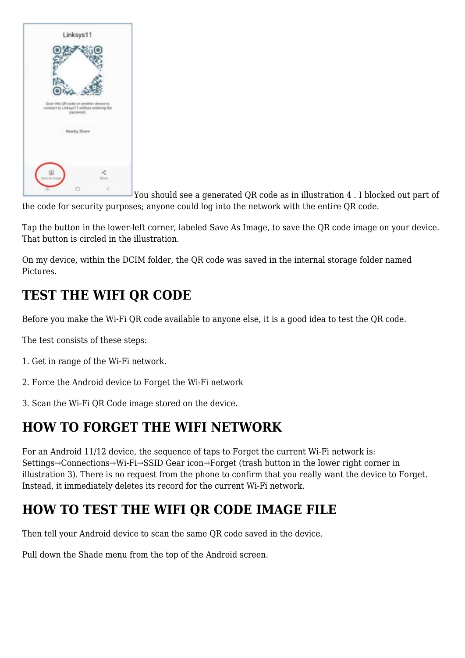

You should see a generated QR code as in illustration 4 . I blocked out part of the code for security purposes; anyone could log into the network with the entire QR code.

Tap the button in the lower-left corner, labeled Save As Image, to save the QR code image on your device. That button is circled in the illustration.

On my device, within the DCIM folder, the QR code was saved in the internal storage folder named Pictures.

#### **TEST THE WIFI QR CODE**

Before you make the Wi-Fi QR code available to anyone else, it is a good idea to test the QR code.

The test consists of these steps:

- 1. Get in range of the Wi-Fi network.
- 2. Force the Android device to Forget the Wi-Fi network
- 3. Scan the Wi-Fi QR Code image stored on the device.

## **HOW TO FORGET THE WIFI NETWORK**

For an Android 11/12 device, the sequence of taps to Forget the current Wi-Fi network is: Settings→Connections→Wi-Fi→SSID Gear icon→Forget (trash button in the lower right corner in illustration 3). There is no request from the phone to confirm that you really want the device to Forget. Instead, it immediately deletes its record for the current Wi-Fi network.

# **HOW TO TEST THE WIFI QR CODE IMAGE FILE**

Then tell your Android device to scan the same QR code saved in the device.

Pull down the Shade menu from the top of the Android screen.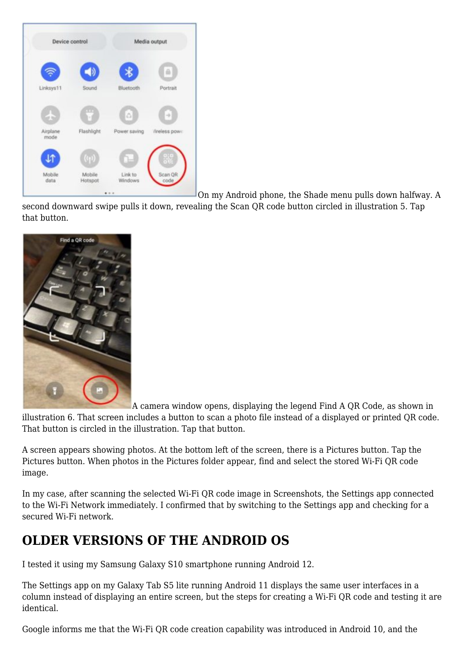

On my Android phone, the Shade menu pulls down halfway. A

second downward swipe pulls it down, revealing the Scan QR code button circled in illustration 5. Tap that button.



A camera window opens, displaying the legend Find A QR Code, as shown in

illustration 6. That screen includes a button to scan a photo file instead of a displayed or printed QR code. That button is circled in the illustration. Tap that button.

A screen appears showing photos. At the bottom left of the screen, there is a Pictures button. Tap the Pictures button. When photos in the Pictures folder appear, find and select the stored Wi-Fi QR code image.

In my case, after scanning the selected Wi-Fi QR code image in Screenshots, the Settings app connected to the Wi-Fi Network immediately. I confirmed that by switching to the Settings app and checking for a secured Wi-Fi network.

#### **OLDER VERSIONS OF THE ANDROID OS**

I tested it using my Samsung Galaxy S10 smartphone running Android 12.

The Settings app on my Galaxy Tab S5 lite running Android 11 displays the same user interfaces in a column instead of displaying an entire screen, but the steps for creating a Wi-Fi QR code and testing it are identical.

Google informs me that the Wi-Fi QR code creation capability was introduced in Android 10, and the